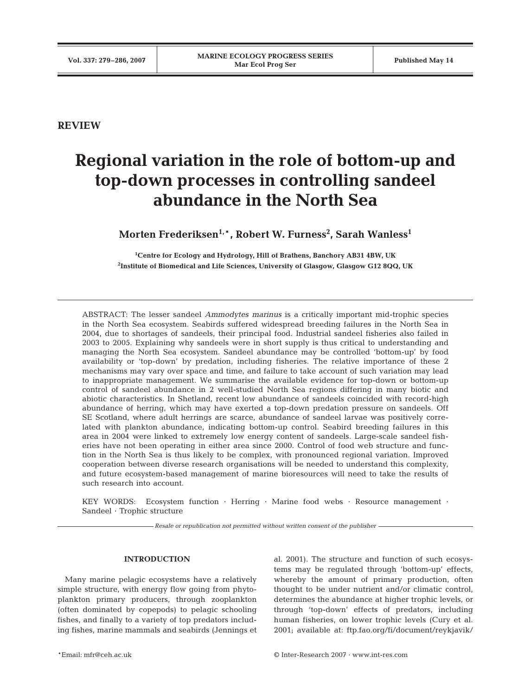**REVIEW**

# **Regional variation in the role of bottom-up and top-down processes in controlling sandeel abundance in the North Sea**

 $M$ orten Frederiksen $^{1,\ast}$ , Robert W. Furness $^2$ , Sarah Wanless $^1$ 

**1 Centre for Ecology and Hydrology, Hill of Brathens, Banchory AB31 4BW, UK 2 Institute of Biomedical and Life Sciences, University of Glasgow, Glasgow G12 8QQ, UK**

ABSTRACT: The lesser sandeel *Ammodytes marinus* is a critically important mid-trophic species in the North Sea ecosystem. Seabirds suffered widespread breeding failures in the North Sea in 2004, due to shortages of sandeels, their principal food. Industrial sandeel fisheries also failed in 2003 to 2005. Explaining why sandeels were in short supply is thus critical to understanding and managing the North Sea ecosystem. Sandeel abundance may be controlled 'bottom-up' by food availability or 'top-down' by predation, including fisheries. The relative importance of these 2 mechanisms may vary over space and time, and failure to take account of such variation may lead to inappropriate management. We summarise the available evidence for top-down or bottom-up control of sandeel abundance in 2 well-studied North Sea regions differing in many biotic and abiotic characteristics. In Shetland, recent low abundance of sandeels coincided with record-high abundance of herring, which may have exerted a top-down predation pressure on sandeels. Off SE Scotland, where adult herrings are scarce, abundance of sandeel larvae was positively correlated with plankton abundance, indicating bottom-up control. Seabird breeding failures in this area in 2004 were linked to extremely low energy content of sandeels. Large-scale sandeel fisheries have not been operating in either area since 2000. Control of food web structure and function in the North Sea is thus likely to be complex, with pronounced regional variation. Improved cooperation between diverse research organisations will be needed to understand this complexity, and future ecosystem-based management of marine bioresources will need to take the results of such research into account.

KEY WORDS: Ecosystem function · Herring · Marine food webs · Resource management · Sandeel · Trophic structure

*Resale or republication not permitted without written consent of the publisher*

## **INTRODUCTION**

Many marine pelagic ecosystems have a relatively simple structure, with energy flow going from phytoplankton primary producers, through zooplankton (often dominated by copepods) to pelagic schooling fishes, and finally to a variety of top predators including fishes, marine mammals and seabirds (Jennings et al. 2001). The structure and function of such ecosystems may be regulated through 'bottom-up' effects, whereby the amount of primary production, often thought to be under nutrient and/or climatic control, determines the abundance at higher trophic levels, or through 'top-down' effects of predators, including human fisheries, on lower trophic levels (Cury et al. 2001; available at: ftp.fao.org/fi/document/reykjavik/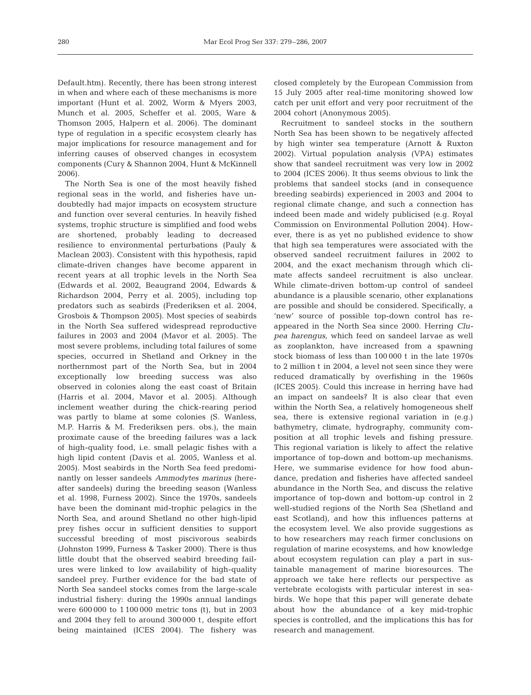Default.htm). Recently, there has been strong interest in when and where each of these mechanisms is more important (Hunt et al. 2002, Worm & Myers 2003, Munch et al. 2005, Scheffer et al. 2005, Ware & Thomson 2005, Halpern et al. 2006). The dominant type of regulation in a specific ecosystem clearly has major implications for resource management and for inferring causes of observed changes in ecosystem components (Cury & Shannon 2004, Hunt & McKinnell 2006).

The North Sea is one of the most heavily fished regional seas in the world, and fisheries have undoubtedly had major impacts on ecosystem structure and function over several centuries. In heavily fished systems, trophic structure is simplified and food webs are shortened, probably leading to decreased resilience to environmental perturbations (Pauly & Maclean 2003). Consistent with this hypothesis, rapid climate-driven changes have become apparent in recent years at all trophic levels in the North Sea (Edwards et al. 2002, Beaugrand 2004, Edwards & Richardson 2004, Perry et al. 2005), including top predators such as seabirds (Frederiksen et al. 2004, Grosbois & Thompson 2005). Most species of seabirds in the North Sea suffered widespread reproductive failures in 2003 and 2004 (Mavor et al. 2005). The most severe problems, including total failures of some species, occurred in Shetland and Orkney in the northernmost part of the North Sea, but in 2004 exceptionally low breeding success was also observed in colonies along the east coast of Britain (Harris et al. 2004, Mavor et al. 2005). Although inclement weather during the chick-rearing period was partly to blame at some colonies (S. Wanless, M.P. Harris & M. Frederiksen pers. obs.), the main proximate cause of the breeding failures was a lack of high-quality food, i.e. small pelagic fishes with a high lipid content (Davis et al. 2005, Wanless et al. 2005). Most seabirds in the North Sea feed predominantly on lesser sandeels *Ammodytes marinus* (hereafter sandeels) during the breeding season (Wanless et al. 1998, Furness 2002). Since the 1970s, sandeels have been the dominant mid-trophic pelagics in the North Sea, and around Shetland no other high-lipid prey fishes occur in sufficient densities to support successful breeding of most piscivorous seabirds (Johnston 1999, Furness & Tasker 2000). There is thus little doubt that the observed seabird breeding failures were linked to low availability of high-quality sandeel prey. Further evidence for the bad state of North Sea sandeel stocks comes from the large-scale industrial fishery: during the 1990s annual landings were 600 000 to 1 100 000 metric tons (t), but in 2003 and 2004 they fell to around 300 000 t, despite effort being maintained (ICES 2004). The fishery was

closed completely by the European Commission from 15 July 2005 after real-time monitoring showed low catch per unit effort and very poor recruitment of the 2004 cohort (Anonymous 2005).

Recruitment to sandeel stocks in the southern North Sea has been shown to be negatively affected by high winter sea temperature (Arnott & Ruxton 2002). Virtual population analysis (VPA) estimates show that sandeel recruitment was very low in 2002 to 2004 (ICES 2006). It thus seems obvious to link the problems that sandeel stocks (and in consequence breeding seabirds) experienced in 2003 and 2004 to regional climate change, and such a connection has indeed been made and widely publicised (e.g. Royal Commission on Environmental Pollution 2004). However, there is as yet no published evidence to show that high sea temperatures were associated with the observed sandeel recruitment failures in 2002 to 2004, and the exact mechanism through which climate affects sandeel recruitment is also unclear. While climate-driven bottom-up control of sandeel abundance is a plausible scenario, other explanations are possible and should be considered. Specifically, a 'new' source of possible top-down control has reappeared in the North Sea since 2000. Herring *Clupea harengus*, which feed on sandeel larvae as well as zooplankton, have increased from a spawning stock biomass of less than 100 000 t in the late 1970s to 2 million t in 2004, a level not seen since they were reduced dramatically by overfishing in the 1960s (ICES 2005). Could this increase in herring have had an impact on sandeels? It is also clear that even within the North Sea, a relatively homogeneous shelf sea, there is extensive regional variation in (e.g.) bathymetry, climate, hydrography, community composition at all trophic levels and fishing pressure. This regional variation is likely to affect the relative importance of top-down and bottom-up mechanisms. Here, we summarise evidence for how food abundance, predation and fisheries have affected sandeel abundance in the North Sea, and discuss the relative importance of top-down and bottom-up control in 2 well-studied regions of the North Sea (Shetland and east Scotland), and how this influences patterns at the ecosystem level. We also provide suggestions as to how researchers may reach firmer conclusions on regulation of marine ecosystems, and how knowledge about ecosystem regulation can play a part in sustainable management of marine bioresources. The approach we take here reflects our perspective as vertebrate ecologists with particular interest in seabirds. We hope that this paper will generate debate about how the abundance of a key mid-trophic species is controlled, and the implications this has for research and management.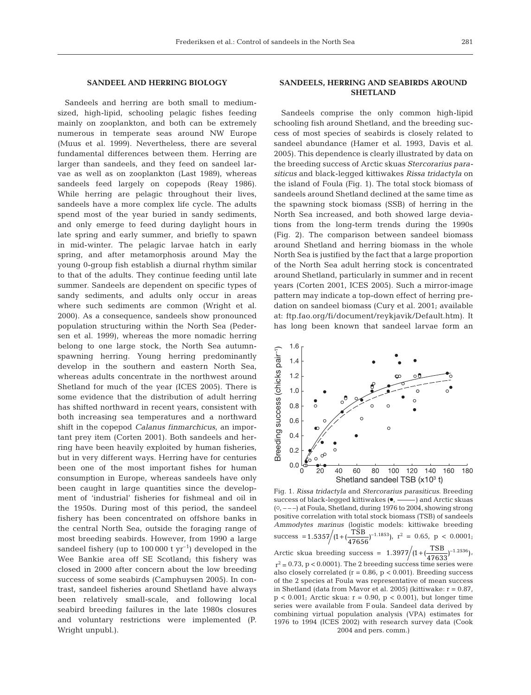#### **SANDEEL AND HERRING BIOLOGY**

Sandeels and herring are both small to mediumsized, high-lipid, schooling pelagic fishes feeding mainly on zooplankton, and both can be extremely numerous in temperate seas around NW Europe (Muus et al. 1999). Nevertheless, there are several fundamental differences between them. Herring are larger than sandeels, and they feed on sandeel larvae as well as on zooplankton (Last 1989), whereas sandeels feed largely on copepods (Reay 1986). While herring are pelagic throughout their lives, sandeels have a more complex life cycle. The adults spend most of the year buried in sandy sediments, and only emerge to feed during daylight hours in late spring and early summer, and briefly to spawn in mid-winter. The pelagic larvae hatch in early spring, and after metamorphosis around May the young 0-group fish establish a diurnal rhythm similar to that of the adults. They continue feeding until late summer. Sandeels are dependent on specific types of sandy sediments, and adults only occur in areas where such sediments are common (Wright et al. 2000). As a consequence, sandeels show pronounced population structuring within the North Sea (Pedersen et al. 1999), whereas the more nomadic herring belong to one large stock, the North Sea autumnspawning herring. Young herring predominantly develop in the southern and eastern North Sea, whereas adults concentrate in the northwest around Shetland for much of the year (ICES 2005). There is some evidence that the distribution of adult herring has shifted northward in recent years, consistent with both increasing sea temperatures and a northward shift in the copepod *Calanus finmarchicus*, an important prey item (Corten 2001). Both sandeels and herring have been heavily exploited by human fisheries, but in very different ways. Herring have for centuries been one of the most important fishes for human consumption in Europe, whereas sandeels have only been caught in large quantities since the development of 'industrial' fisheries for fishmeal and oil in the 1950s. During most of this period, the sandeel fishery has been concentrated on offshore banks in the central North Sea, outside the foraging range of most breeding seabirds. However, from 1990 a large sandeel fishery (up to  $100000 \, \text{t yr}^{-1}$ ) developed in the Wee Bankie area off SE Scotland; this fishery was closed in 2000 after concern about the low breeding success of some seabirds (Camphuysen 2005). In contrast, sandeel fisheries around Shetland have always been relatively small-scale, and following local seabird breeding failures in the late 1980s closures and voluntary restrictions were implemented (P. Wright unpubl.).

## **SANDEELS, HERRING AND SEABIRDS AROUND SHETLAND**

Sandeels comprise the only common high-lipid schooling fish around Shetland, and the breeding success of most species of seabirds is closely related to sandeel abundance (Hamer et al. 1993, Davis et al. 2005). This dependence is clearly illustrated by data on the breeding success of Arctic skuas *Stercorarius parasiticus* and black-legged kittiwakes *Rissa tridactyla* on the island of Foula (Fig. 1). The total stock biomass of sandeels around Shetland declined at the same time as the spawning stock biomass (SSB) of herring in the North Sea increased, and both showed large deviations from the long-term trends during the 1990s (Fig. 2). The comparison between sandeel biomass around Shetland and herring biomass in the whole North Sea is justified by the fact that a large proportion of the North Sea adult herring stock is concentrated around Shetland, particularly in summer and in recent years (Corten 2001, ICES 2005). Such a mirror-image pattern may indicate a top-down effect of herring predation on sandeel biomass (Cury et al. 2001; available at: ftp.fao.org/fi/document/reykjavik/Default.htm). It has long been known that sandeel larvae form an



Fig. 1. *Rissa tridactyla* and *Stercorarius parasiticus*. Breeding success of black-legged kittiwakes ( $\bullet$ , -----) and Arctic skuas  $(0, ---)$  at Foula, Shetland, during 1976 to 2004, showing strong positive correlation with total stock biomass (TSB) of sandeels *Ammodytes marinus* (logistic models: kittiwake breeding success =  $1.5357/(1+(\frac{\text{TSB}}{47656})^{-1.1853})$ ,  $r^2 = 0.65$ ,  $p < 0.0001$ ; Arctic skua breeding success =  $1.3977/(1+(\frac{\text{TSB}}{47633})^{-1.2536})$ ,  $r^2 = 0.73$ , p < 0.0001). The 2 breeding success time series were also closely correlated  $(r = 0.86, p < 0.001)$ . Breeding success of the 2 species at Foula was representative of mean success in Shetland (data from Mavor et al. 2005) (kittiwake: r = 0.87,  $p < 0.001$ ; Arctic skua:  $r = 0.90$ ,  $p < 0.001$ ), but longer time series were available from F oula. Sandeel data derived by combining virtual population analysis (VPA) estimates for 1976 to 1994 (ICES 2002) with research survey data (Cook 2004 and pers. comm.)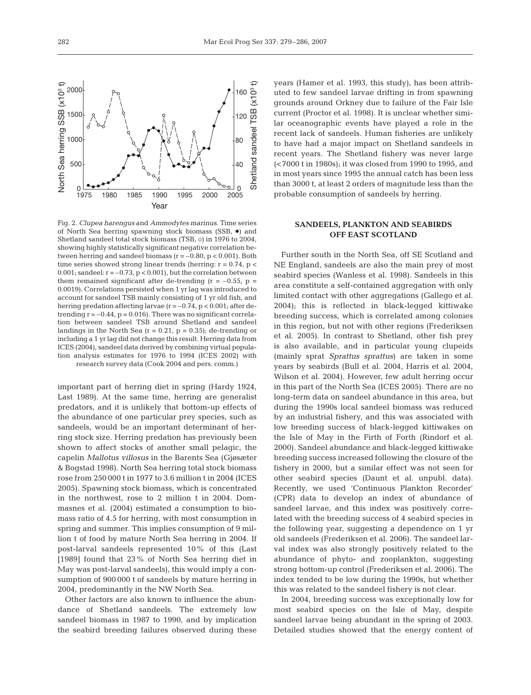Shetland sandeel TSB (x10<sup>3</sup> t)

Shetland sandeel

 $(x10^{3} +$ 

TSB

ച <sub>0</sub><br>2005

40

80

120

160



1975 1980 1985 1990 1995 2000 2005

important part of herring diet in spring (Hardy 1924, Last 1989). At the same time, herring are generalist predators, and it is unlikely that bottom-up effects of the abundance of one particular prey species, such as sandeels, would be an important determinant of herring stock size. Herring predation has previously been shown to affect stocks of another small pelagic, the capelin *Mallotus villosus* in the Barents Sea (Gjøsæter & Bogstad 1998). North Sea herring total stock biomass rose from 250 000 t in 1977 to 3.6 million t in 2004 (ICES 2005). Spawning stock biomass, which is concentrated in the northwest, rose to 2 million t in 2004. Dommasnes et al. (2004) estimated a consumption to biomass ratio of 4.5 for herring, with most consumption in spring and summer. This implies consumption of 9 million t of food by mature North Sea herring in 2004. If post-larval sandeels represented 10% of this (Last [1989] found that 23% of North Sea herring diet in May was post-larval sandeels), this would imply a consumption of 900 000 t of sandeels by mature herring in 2004, predominantly in the NW North Sea.

Other factors are also known to influence the abundance of Shetland sandeels. The extremely low sandeel biomass in 1987 to 1990, and by implication the seabird breeding failures observed during these

years (Hamer et al. 1993, this study), has been attributed to few sandeel larvae drifting in from spawning grounds around Orkney due to failure of the Fair Isle current (Proctor et al. 1998). It is unclear whether similar oceanographic events have played a role in the recent lack of sandeels. Human fisheries are unlikely to have had a major impact on Shetland sandeels in recent years. The Shetland fishery was never large (<7000 t in 1980s); it was closed from 1990 to 1995, and in most years since 1995 the annual catch has been less than 3000 t, at least 2 orders of magnitude less than the probable consumption of sandeels by herring.

#### **SANDEELS, PLANKTON AND SEABIRDS OFF EAST SCOTLAND**

Further south in the North Sea, off SE Scotland and NE England, sandeels are also the main prey of most seabird species (Wanless et al. 1998). Sandeels in this area constitute a self-contained aggregation with only limited contact with other aggregations (Gallego et al. 2004); this is reflected in black-legged kittiwake breeding success, which is correlated among colonies in this region, but not with other regions (Frederiksen et al. 2005). In contrast to Shetland, other fish prey is also available, and in particular young clupeids (mainly sprat *Sprattus sprattus*) are taken in some years by seabirds (Bull et al. 2004, Harris et al. 2004, Wilson et al. 2004). However, few adult herring occur in this part of the North Sea (ICES 2005). There are no long-term data on sandeel abundance in this area, but during the 1990s local sandeel biomass was reduced by an industrial fishery, and this was associated with low breeding success of black-legged kittiwakes on the Isle of May in the Firth of Forth (Rindorf et al. 2000). Sandeel abundance and black-legged kittiwake breeding success increased following the closure of the fishery in 2000, but a similar effect was not seen for other seabird species (Daunt et al. unpubl. data). Recently, we used 'Continuous Plankton Recorder' (CPR) data to develop an index of abundance of sandeel larvae, and this index was positively correlated with the breeding success of 4 seabird species in the following year, suggesting a dependence on 1 yr old sandeels (Frederiksen et al. 2006). The sandeel larval index was also strongly positively related to the abundance of phyto- and zooplankton, suggesting strong bottom-up control (Frederiksen et al. 2006). The index tended to be low during the 1990s, but whether this was related to the sandeel fishery is not clear.

In 2004, breeding success was exceptionally low for most seabird species on the Isle of May, despite sandeel larvae being abundant in the spring of 2003. Detailed studies showed that the energy content of

North Sea herring SSB (x103 t)

Vorth Sea herring SSB (x10<sup>3</sup> t)

 $0 \frac{1}{1975}$ 

500

1000

1500

2000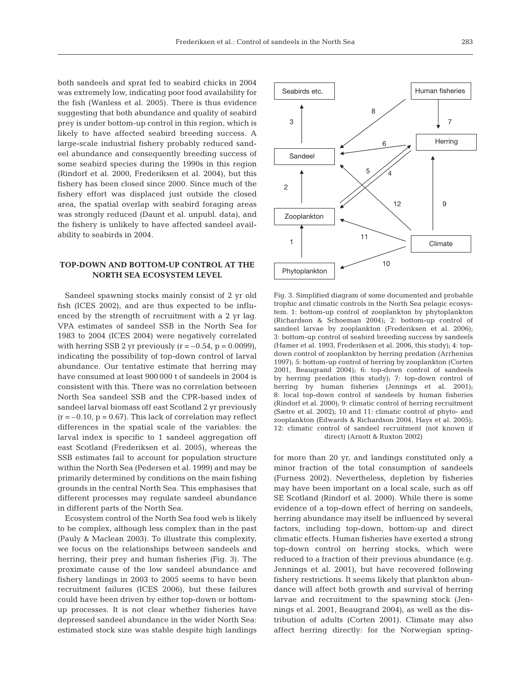both sandeels and sprat fed to seabird chicks in 2004 was extremely low, indicating poor food availability for the fish (Wanless et al. 2005). There is thus evidence suggesting that both abundance and quality of seabird prey is under bottom-up control in this region, which is likely to have affected seabird breeding success. A large-scale industrial fishery probably reduced sandeel abundance and consequently breeding success of some seabird species during the 1990s in this region (Rindorf et al. 2000, Frederiksen et al. 2004), but this fishery has been closed since 2000. Since much of the fishery effort was displaced just outside the closed area, the spatial overlap with seabird foraging areas was strongly reduced (Daunt et al. unpubl. data), and the fishery is unlikely to have affected sandeel availability to seabirds in 2004.

## **TOP-DOWN AND BOTTOM-UP CONTROL AT THE NORTH SEA ECOSYSTEM LEVEL**

Sandeel spawning stocks mainly consist of 2 yr old fish (ICES 2002), and are thus expected to be influenced by the strength of recruitment with a 2 yr lag. VPA estimates of sandeel SSB in the North Sea for 1983 to 2004 (ICES 2004) were negatively correlated with herring SSB 2 yr previously  $(r = -0.54, p = 0.0099)$ , indicating the possibility of top-down control of larval abundance. Our tentative estimate that herring may have consumed at least 900 000 t of sandeels in 2004 is consistent with this. There was no correlation between North Sea sandeel SSB and the CPR-based index of sandeel larval biomass off east Scotland 2 yr previously  $(r = -0.10, p = 0.67)$ . This lack of correlation may reflect differences in the spatial scale of the variables: the larval index is specific to 1 sandeel aggregation off east Scotland (Frederiksen et al. 2005), whereas the SSB estimates fail to account for population structure within the North Sea (Pedersen et al. 1999) and may be primarily determined by conditions on the main fishing grounds in the central North Sea. This emphasises that different processes may regulate sandeel abundance in different parts of the North Sea.

Ecosystem control of the North Sea food web is likely to be complex, although less complex than in the past (Pauly & Maclean 2003). To illustrate this complexity, we focus on the relationships between sandeels and herring, their prey and human fisheries (Fig. 3). The proximate cause of the low sandeel abundance and fishery landings in 2003 to 2005 seems to have been recruitment failures (ICES 2006), but these failures could have been driven by either top-down or bottomup processes. It is not clear whether fisheries have depressed sandeel abundance in the wider North Sea: estimated stock size was stable despite high landings



Fig. 3. Simplified diagram of some documented and probable trophic and climatic controls in the North Sea pelagic ecosystem. 1: bottom-up control of zooplankton by phytoplankton (Richardson & Schoeman 2004); 2: bottom-up control of sandeel larvae by zooplankton (Frederiksen et al. 2006); 3: bottom-up control of seabird breeding success by sandeels (Hamer et al. 1993, Frederiksen et al. 2006, this study); 4: topdown control of zooplankton by herring predation (Arrhenius 1997); 5: bottom-up control of herring by zooplankton (Corten 2001, Beaugrand 2004); 6: top-down control of sandeels by herring predation (this study); 7: top-down control of herring by human fisheries (Jennings et al. 2001); 8: local top-down control of sandeels by human fisheries (Rindorf et al. 2000); 9: climatic control of herring recruitment (Sætre et al. 2002); 10 and 11: climatic control of phyto- and zooplankton (Edwards & Richardson 2004, Hays et al. 2005); 12: climatic control of sandeel recruitment (not known if direct) (Arnott & Ruxton 2002)

for more than 20 yr, and landings constituted only a minor fraction of the total consumption of sandeels (Furness 2002). Nevertheless, depletion by fisheries may have been important on a local scale, such as off SE Scotland (Rindorf et al. 2000). While there is some evidence of a top-down effect of herring on sandeels, herring abundance may itself be influenced by several factors, including top-down, bottom-up and direct climatic effects. Human fisheries have exerted a strong top-down control on herring stocks, which were reduced to a fraction of their previous abundance (e.g. Jennings et al. 2001), but have recovered following fishery restrictions. It seems likely that plankton abundance will affect both growth and survival of herring larvae and recruitment to the spawning stock (Jennings et al. 2001, Beaugrand 2004), as well as the distribution of adults (Corten 2001). Climate may also affect herring directly: for the Norwegian spring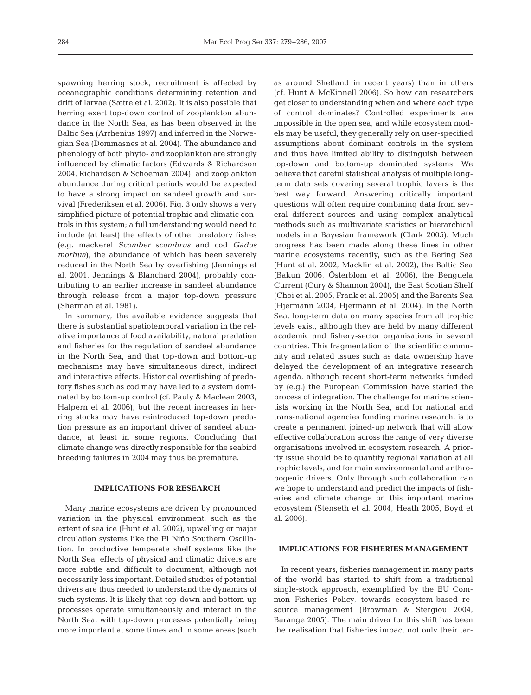spawning herring stock, recruitment is affected by oceanographic conditions determining retention and drift of larvae (Sætre et al. 2002). It is also possible that herring exert top-down control of zooplankton abundance in the North Sea, as has been observed in the Baltic Sea (Arrhenius 1997) and inferred in the Norwegian Sea (Dommasnes et al. 2004). The abundance and phenology of both phyto- and zooplankton are strongly influenced by climatic factors (Edwards & Richardson 2004, Richardson & Schoeman 2004), and zooplankton abundance during critical periods would be expected to have a strong impact on sandeel growth and survival (Frederiksen et al. 2006). Fig. 3 only shows a very simplified picture of potential trophic and climatic controls in this system; a full understanding would need to include (at least) the effects of other predatory fishes (e.g. mackerel *Scomber scombrus* and cod *Gadus morhua*), the abundance of which has been severely reduced in the North Sea by overfishing (Jennings et al. 2001, Jennings & Blanchard 2004), probably contributing to an earlier increase in sandeel abundance through release from a major top-down pressure (Sherman et al. 1981).

In summary, the available evidence suggests that there is substantial spatiotemporal variation in the relative importance of food availability, natural predation and fisheries for the regulation of sandeel abundance in the North Sea, and that top-down and bottom-up mechanisms may have simultaneous direct, indirect and interactive effects. Historical overfishing of predatory fishes such as cod may have led to a system dominated by bottom-up control (cf. Pauly & Maclean 2003, Halpern et al. 2006), but the recent increases in herring stocks may have reintroduced top-down predation pressure as an important driver of sandeel abundance, at least in some regions. Concluding that climate change was directly responsible for the seabird breeding failures in 2004 may thus be premature.

#### **IMPLICATIONS FOR RESEARCH**

Many marine ecosystems are driven by pronounced variation in the physical environment, such as the extent of sea ice (Hunt et al. 2002), upwelling or major circulation systems like the El Niño Southern Oscillation. In productive temperate shelf systems like the North Sea, effects of physical and climatic drivers are more subtle and difficult to document, although not necessarily less important. Detailed studies of potential drivers are thus needed to understand the dynamics of such systems. It is likely that top-down and bottom-up processes operate simultaneously and interact in the North Sea, with top-down processes potentially being more important at some times and in some areas (such

as around Shetland in recent years) than in others (cf. Hunt & McKinnell 2006). So how can researchers get closer to understanding when and where each type of control dominates? Controlled experiments are impossible in the open sea, and while ecosystem models may be useful, they generally rely on user-specified assumptions about dominant controls in the system and thus have limited ability to distinguish between top-down and bottom-up dominated systems. We believe that careful statistical analysis of multiple longterm data sets covering several trophic layers is the best way forward. Answering critically important questions will often require combining data from several different sources and using complex analytical methods such as multivariate statistics or hierarchical models in a Bayesian framework (Clark 2005). Much progress has been made along these lines in other marine ecosystems recently, such as the Bering Sea (Hunt et al. 2002, Macklin et al. 2002), the Baltic Sea (Bakun 2006, Österblom et al. 2006), the Benguela Current (Cury & Shannon 2004), the East Scotian Shelf (Choi et al. 2005, Frank et al. 2005) and the Barents Sea (Hjermann 2004, Hjermann et al. 2004). In the North Sea, long-term data on many species from all trophic levels exist, although they are held by many different academic and fishery-sector organisations in several countries. This fragmentation of the scientific community and related issues such as data ownership have delayed the development of an integrative research agenda, although recent short-term networks funded by (e.g.) the European Commission have started the process of integration. The challenge for marine scientists working in the North Sea, and for national and trans-national agencies funding marine research, is to create a permanent joined-up network that will allow effective collaboration across the range of very diverse organisations involved in ecosystem research. A priority issue should be to quantify regional variation at all trophic levels, and for main environmental and anthropogenic drivers. Only through such collaboration can we hope to understand and predict the impacts of fisheries and climate change on this important marine ecosystem (Stenseth et al. 2004, Heath 2005, Boyd et al. 2006).

### **IMPLICATIONS FOR FISHERIES MANAGEMENT**

In recent years, fisheries management in many parts of the world has started to shift from a traditional single-stock approach, exemplified by the EU Common Fisheries Policy, towards ecosystem-based resource management (Browman & Stergiou 2004, Barange 2005). The main driver for this shift has been the realisation that fisheries impact not only their tar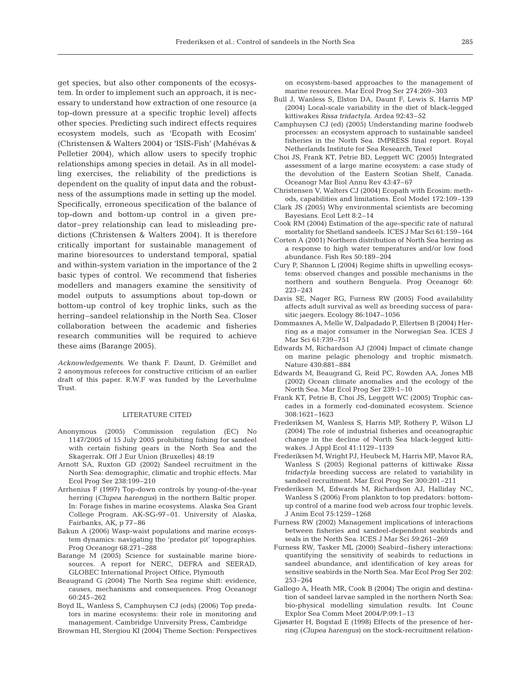get species, but also other components of the ecosystem. In order to implement such an approach, it is necessary to understand how extraction of one resource (a top-down pressure at a specific trophic level) affects other species. Predicting such indirect effects requires ecosystem models, such as 'Ecopath with Ecosim' (Christensen & Walters 2004) or 'ISIS-Fish' (Mahévas & Pelletier 2004), which allow users to specify trophic relationships among species in detail. As in all modelling exercises, the reliability of the predictions is dependent on the quality of input data and the robustness of the assumptions made in setting up the model. Specifically, erroneous specification of the balance of top-down and bottom-up control in a given predator–prey relationship can lead to misleading predictions (Christensen & Walters 2004). It is therefore critically important for sustainable management of marine bioresources to understand temporal, spatial and within-system variation in the importance of the 2 basic types of control. We recommend that fisheries modellers and managers examine the sensitivity of model outputs to assumptions about top-down or bottom-up control of key trophic links, such as the herring–sandeel relationship in the North Sea. Closer collaboration between the academic and fisheries research communities will be required to achieve these aims (Barange 2005).

*Acknowledgements.* We thank F. Daunt, D. Grémillet and 2 anonymous referees for constructive criticism of an earlier draft of this paper. R.W.F was funded by the Leverhulme Trust.

#### LITERATURE CITED

- Anonymous (2005) Commission regulation (EC) No 1147/2005 of 15 July 2005 prohibiting fishing for sandeel with certain fishing gears in the North Sea and the Skagerrak. Off J Eur Union (Bruxelles) 48:19
- Arnott SA, Ruxton GD (2002) Sandeel recruitment in the North Sea: demographic, climatic and trophic effects. Mar Ecol Prog Ser 238:199–210
- Arrhenius F (1997) Top-down controls by young-of-the-year herring (*Clupea harengus*) in the northern Baltic proper. In: Forage fishes in marine ecosystems. Alaska Sea Grant College Program. AK-SG-97–01. University of Alaska, Fairbanks, AK, p 77–86
- Bakun A (2006) Wasp-waist populations and marine ecosystem dynamics: navigating the 'predator pit' topographies. Prog Oceanogr 68:271–288
- Barange M (2005) Science for sustainable marine bioresources. A report for NERC, DEFRA and SEERAD, GLOBEC International Project Office, Plymouth
- Beaugrand G (2004) The North Sea regime shift: evidence, causes, mechanisms and consequences. Prog Oceanogr 60:245–262
- Boyd IL, Wanless S, Camphuysen CJ (eds) (2006) Top predators in marine ecosystems: their role in monitoring and management. Cambridge University Press, Cambridge

Browman HI, Stergiou KI (2004) Theme Section: Perspectives

on ecosystem-based approaches to the management of marine resources. Mar Ecol Prog Ser 274:269–303

- Bull J, Wanless S, Elston DA, Daunt F, Lewis S, Harris MP (2004) Local-scale variability in the diet of black-legged kittiwakes *Rissa tridactyla*. Ardea 92:43–52
- Camphuysen CJ (ed) (2005) Understanding marine foodweb processes: an ecosystem approach to sustainable sandeel fisheries in the North Sea. IMPRESS final report. Royal Netherlands Institute for Sea Research, Texel
- Choi JS, Frank KT, Petrie BD, Leggett WC (2005) Integrated assessment of a large marine ecosystem: a case study of the devolution of the Eastern Scotian Shelf, Canada. Oceanogr Mar Biol Annu Rev 43:47–67
- Christensen V, Walters CJ (2004) Ecopath with Ecosim: methods, capabilities and limitations. Ecol Model 172:109–139
- Clark JS (2005) Why environmental scientists are becoming Bayesians. Ecol Lett 8:2–14
- Cook RM (2004) Estimation of the age-specific rate of natural mortality for Shetland sandeels. ICES J Mar Sci 61:159–164
- Corten A (2001) Northern distribution of North Sea herring as a response to high water temperatures and/or low food abundance. Fish Res 50:189–204
- Cury P, Shannon L (2004) Regime shifts in upwelling ecosystems: observed changes and possible mechanisms in the northern and southern Benguela. Prog Oceanogr 60: 223–243
- Davis SE, Nager RG, Furness RW (2005) Food availability affects adult survival as well as breeding success of parasitic jaegers. Ecology 86:1047–1056
- Dommasnes A, Melle W, Dalpadado P, Ellertsen B (2004) Herring as a major consumer in the Norwegian Sea. ICES J Mar Sci 61:739–751
- Edwards M, Richardson AJ (2004) Impact of climate change on marine pelagic phenology and trophic mismatch. Nature 430:881–884
- Edwards M, Beaugrand G, Reid PC, Rowden AA, Jones MB (2002) Ocean climate anomalies and the ecology of the North Sea. Mar Ecol Prog Ser 239:1–10
- Frank KT, Petrie B, Choi JS, Leggett WC (2005) Trophic cascades in a formerly cod-dominated ecosystem. Science 308:1621–1623
- Frederiksen M, Wanless S, Harris MP, Rothery P, Wilson LJ (2004) The role of industrial fisheries and oceanographic change in the decline of North Sea black-legged kittiwakes. J Appl Ecol 41:1129–1139
- Frederiksen M, Wright PJ, Heubeck M, Harris MP, Mavor RA, Wanless S (2005) Regional patterns of kittiwake *Rissa tridactyla* breeding success are related to variability in sandeel recruitment. Mar Ecol Prog Ser 300:201–211
- Frederiksen M, Edwards M, Richardson AJ, Halliday NC, Wanless S (2006) From plankton to top predators: bottomup control of a marine food web across four trophic levels. J Anim Ecol 75:1259–1268
- Furness RW (2002) Management implications of interactions between fisheries and sandeel-dependent seabirds and seals in the North Sea. ICES J Mar Sci 59:261–269
- Furness RW, Tasker ML (2000) Seabird–fishery interactions: quantifying the sensitivity of seabirds to reductions in sandeel abundance, and identification of key areas for sensitive seabirds in the North Sea. Mar Ecol Prog Ser 202: 253–264
- Gallego A, Heath MR, Cook B (2004) The origin and destination of sandeel larvae sampled in the northern North Sea: bio-physical modelling simulation results. Int Counc Explor Sea Comm Meet 2004/P:09:1–13
- Gjøsæter H, Bogstad E (1998) Effects of the presence of herring (*Clupea harengus*) on the stock-recruitment relation-